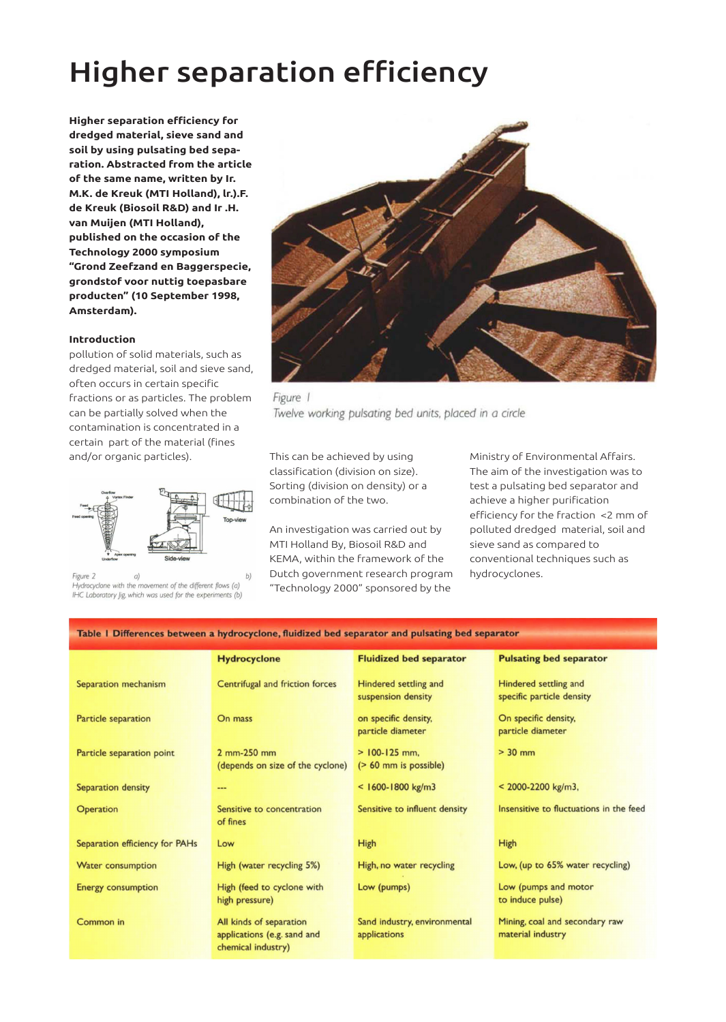# Higher separation efficiency

**Higher separation efficiency for dredged material, sieve sand and soil by using pulsating bed separation. Abstracted from the article of the same name, written by Ir. M.K. de Kreuk (MTI Holland), lr.).F. de Kreuk (Biosoil R&D) and Ir .H. van Muijen (MTI Holland), published on the occasion of the Technology 2000 symposium "Grond Zeefzand en Baggerspecie, grondstof voor nuttig toepasbare producten" (10 September 1998, Amsterdam).**

### **Introduction**

pollution of solid materials, such as dredged material, soil and sieve sand, often occurs in certain specific fractions or as particles. The problem can be partially solved when the contamination is concentrated in a certain part of the material (fines and/or organic particles). This can be achieved by using



Figure 2  $a)$ Hydrocyclone with the movement of the different flows (a) IHC Laboratory Jig, which was used for the experiments (b)



Figure 1 Twelve working pulsating bed units, placed in a circle

classification (division on size). Sorting (division on density) or a combination of the two.

An investigation was carried out by MTI Holland By, Biosoil R&D and KEMA, within the framework of the Dutch government research program "Technology 2000" sponsored by the

Ministry of Environmental Affairs. The aim of the investigation was to test a pulsating bed separator and achieve a higher purification efficiency for the fraction <2 mm of polluted dredged material, soil and sieve sand as compared to conventional techniques such as hydrocyclones.

| Table I Differences between a hydrocyclone, fluidized bed separator and pulsating bed separator |                                                                              |                                               |                                                     |
|-------------------------------------------------------------------------------------------------|------------------------------------------------------------------------------|-----------------------------------------------|-----------------------------------------------------|
|                                                                                                 | <b>Hydrocyclone</b>                                                          | <b>Fluidized bed separator</b>                | <b>Pulsating bed separator</b>                      |
| Separation mechanism                                                                            | Centrifugal and friction forces                                              | Hindered settling and<br>suspension density   | Hindered settling and<br>specific particle density  |
| Particle separation                                                                             | On mass                                                                      | on specific density,<br>particle diameter     | On specific density,<br>particle diameter           |
| Particle separation point                                                                       | 2 mm-250 mm<br>(depends on size of the cyclone)                              | $> 100 - 125$ mm.<br>$($ > 60 mm is possible) | $> 30$ mm                                           |
| Separation density                                                                              | ---                                                                          | $<$ 1600-1800 kg/m3                           | $<$ 2000-2200 kg/m3,                                |
| Operation                                                                                       | Sensitive to concentration<br>of fines                                       | Sensitive to influent density                 | Insensitive to fluctuations in the feed             |
| Separation efficiency for PAHs                                                                  | Low                                                                          | High                                          | High                                                |
| <b>Water consumption</b>                                                                        | High (water recycling 5%)                                                    | High, no water recycling                      | Low, (up to 65% water recycling)                    |
| <b>Energy consumption</b>                                                                       | High (feed to cyclone with<br>high pressure)                                 | Low (pumps)                                   | Low (pumps and motor<br>to induce pulse)            |
| Common in                                                                                       | All kinds of separation<br>applications (e.g. sand and<br>chemical industry) | Sand industry, environmental<br>applications  | Mining, coal and secondary raw<br>material industry |